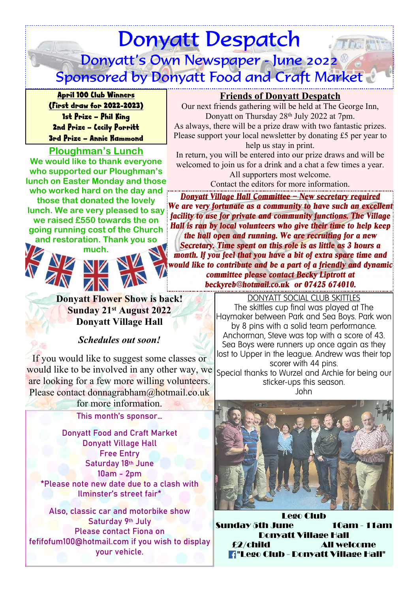# Donyatt Despatch Thak Donyatt's Own Newspaper - June 2022 Sponsored by Donyatt Food and Craft Market

April 100 Club Winners (First draw for 2022-2023) 1st Prize – Phil King 2nd Prize – Cecily Porritt 3rd Prize – Annie Hammond

## **Ploughman's Lunch**

**We would like to thank everyone who supported our Ploughman's lunch on Easter Monday and those who worked hard on the day and those that donated the lovely lunch. We are very pleased to say we raised £550 towards the on going running cost of the Church and restoration. Thank you so**





**Donyatt Flower Show is back! Sunday 21st August 2022 Donyatt Village Hall**

## *Schedules out soon!*

If you would like to suggest some classes or would like to be involved in any other way, we are looking for a few more willing volunteers. Please contact donnagrabham@hotmail.co.uk

for more information.

This month's sponsor…

Donyatt Food and Craft Market Donyatt Village Hall Free Entry Saturday 18th June 10am - 2pm \*Please note new date due to a clash with Ilminster's street fair\*

Also, classic car and motorbike show Saturday 9<sup>th</sup> July Please contact Fiona on fefifofum100@hotmail.com if you wish to display your vehicle.

## **Friends of Donyatt Despatch**

Our next friends gathering will be held at The George Inn, Donyatt on Thursday 28<sup>th</sup> July 2022 at 7pm. As always, there will be a prize draw with two fantastic prizes. Please support your local newsletter by donating £5 per year to help us stay in print.

In return, you will be entered into our prize draws and will be welcomed to join us for a drink and a chat a few times a year. All supporters most welcome.

Contact the editors for more information.

*Donyatt Village Hall Committee – New secretary required We are very fortunate as a community to have such an excellent facility to use for private and community functions. The Village Hall is ran by local volunteers who give their time to help keep the hall open and running. We are recruiting for a new Secretary. Time spent on this role is as little as 3 hours a month. If you feel that you have a bit of extra spare time and would like to contribute and be a part of a friendly and dynamic committee please contact Becky Liptrott at*

*beckyreb@hotmail.co.uk or 07425 674010.*

DONYATT SOCIAL CLUB SKITTLES The skittles cup final was played at The Haymaker between Park and Sea Boys. Park won by 8 pins with a solid team performance. Anchorman, Steve was top with a score of 43. Sea Boys were runners up once again as they lost to Upper in the league. Andrew was their top scorer with 44 pins. Special thanks to Wurzel and Archie for being our sticker-ups this season.

John



Lego Club Sunday 5th June 10am - 11am Donyatt Village Hall £2/child All welcome "Lego Club - Donyatt Village Hall"